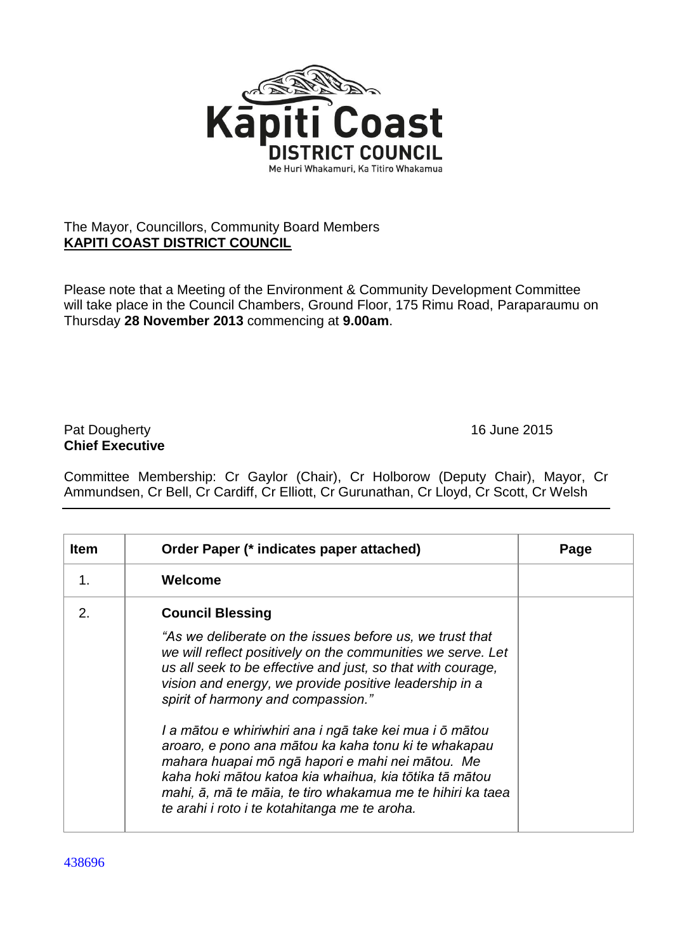

## The Mayor, Councillors, Community Board Members **KAPITI COAST DISTRICT COUNCIL**

Please note that a Meeting of the Environment & Community Development Committee will take place in the Council Chambers, Ground Floor, 175 Rimu Road, Paraparaumu on Thursday **28 November 2013** commencing at **9.00am**.

## Pat Dougherty **16 June 2015 Chief Executive**

Committee Membership: Cr Gaylor (Chair), Cr Holborow (Deputy Chair), Mayor, Cr Ammundsen, Cr Bell, Cr Cardiff, Cr Elliott, Cr Gurunathan, Cr Lloyd, Cr Scott, Cr Welsh

| <b>Item</b> | Order Paper (* indicates paper attached)                                                                                                                                                                                                                                                                                                     | Page |
|-------------|----------------------------------------------------------------------------------------------------------------------------------------------------------------------------------------------------------------------------------------------------------------------------------------------------------------------------------------------|------|
| 1.          | Welcome                                                                                                                                                                                                                                                                                                                                      |      |
| 2.          | <b>Council Blessing</b>                                                                                                                                                                                                                                                                                                                      |      |
|             | "As we deliberate on the issues before us, we trust that<br>we will reflect positively on the communities we serve. Let<br>us all seek to be effective and just, so that with courage,<br>vision and energy, we provide positive leadership in a<br>spirit of harmony and compassion."                                                       |      |
|             | I a mātou e whiriwhiri ana i ngā take kei mua i ō mātou<br>aroaro, e pono ana mātou ka kaha tonu ki te whakapau<br>mahara huapai mō ngā hapori e mahi nei mātou. Me<br>kaha hoki mātou katoa kia whaihua, kia tōtika tā mātou<br>mahi, ā, mā te māia, te tiro whakamua me te hihiri ka taea<br>te arahi i roto i te kotahitanga me te aroha. |      |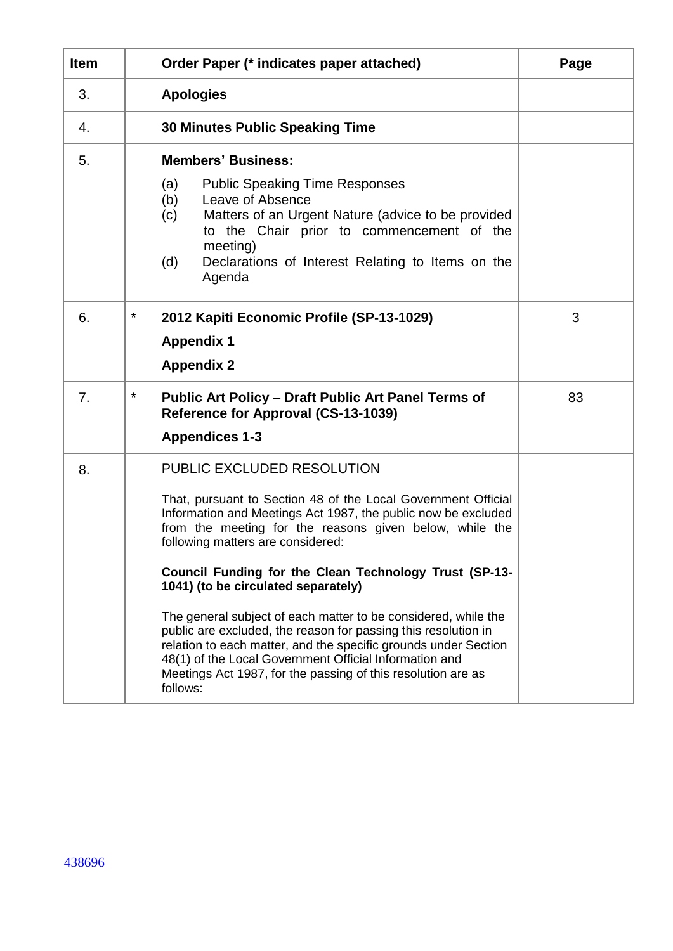| <b>Item</b> | Order Paper (* indicates paper attached)                                                                                                                                                                                                                                                                                                                                                                                                                                                                                                                                                                                                                                                                   | Page |
|-------------|------------------------------------------------------------------------------------------------------------------------------------------------------------------------------------------------------------------------------------------------------------------------------------------------------------------------------------------------------------------------------------------------------------------------------------------------------------------------------------------------------------------------------------------------------------------------------------------------------------------------------------------------------------------------------------------------------------|------|
| 3.          | <b>Apologies</b>                                                                                                                                                                                                                                                                                                                                                                                                                                                                                                                                                                                                                                                                                           |      |
| 4.          | <b>30 Minutes Public Speaking Time</b>                                                                                                                                                                                                                                                                                                                                                                                                                                                                                                                                                                                                                                                                     |      |
| 5.          | <b>Members' Business:</b><br>(a)<br><b>Public Speaking Time Responses</b><br>Leave of Absence<br>(b)<br>Matters of an Urgent Nature (advice to be provided<br>(c)<br>to the Chair prior to commencement of the<br>meeting)<br>Declarations of Interest Relating to Items on the<br>(d)<br>Agenda                                                                                                                                                                                                                                                                                                                                                                                                           |      |
| 6.          | *<br>2012 Kapiti Economic Profile (SP-13-1029)<br><b>Appendix 1</b><br><b>Appendix 2</b>                                                                                                                                                                                                                                                                                                                                                                                                                                                                                                                                                                                                                   | 3    |
| 7.          | *<br><b>Public Art Policy - Draft Public Art Panel Terms of</b><br>Reference for Approval (CS-13-1039)<br><b>Appendices 1-3</b>                                                                                                                                                                                                                                                                                                                                                                                                                                                                                                                                                                            | 83   |
| 8.          | PUBLIC EXCLUDED RESOLUTION<br>That, pursuant to Section 48 of the Local Government Official<br>Information and Meetings Act 1987, the public now be excluded<br>from the meeting for the reasons given below, while the<br>following matters are considered:<br>Council Funding for the Clean Technology Trust (SP-13-<br>1041) (to be circulated separately)<br>The general subject of each matter to be considered, while the<br>public are excluded, the reason for passing this resolution in<br>relation to each matter, and the specific grounds under Section<br>48(1) of the Local Government Official Information and<br>Meetings Act 1987, for the passing of this resolution are as<br>follows: |      |